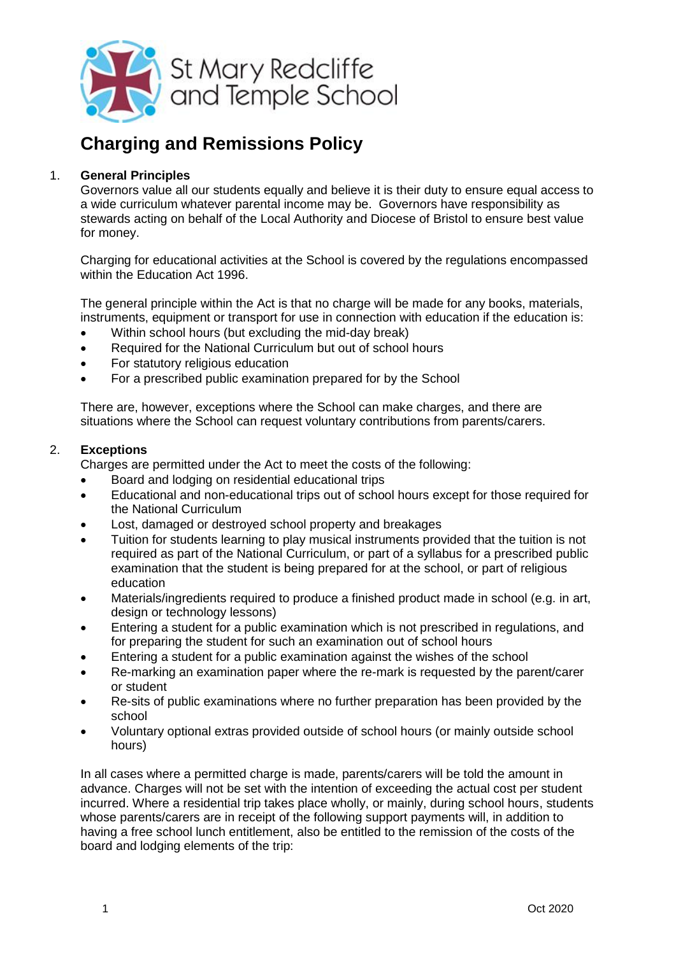

# **Charging and Remissions Policy**

## 1. **General Principles**

Governors value all our students equally and believe it is their duty to ensure equal access to a wide curriculum whatever parental income may be. Governors have responsibility as stewards acting on behalf of the Local Authority and Diocese of Bristol to ensure best value for money.

Charging for educational activities at the School is covered by the regulations encompassed within the Education Act 1996.

The general principle within the Act is that no charge will be made for any books, materials, instruments, equipment or transport for use in connection with education if the education is:

- Within school hours (but excluding the mid-day break)
- Required for the National Curriculum but out of school hours
- For statutory religious education
- For a prescribed public examination prepared for by the School

There are, however, exceptions where the School can make charges, and there are situations where the School can request voluntary contributions from parents/carers.

#### 2. **Exceptions**

Charges are permitted under the Act to meet the costs of the following:

- Board and lodging on residential educational trips
- Educational and non-educational trips out of school hours except for those required for the National Curriculum
- Lost, damaged or destroyed school property and breakages
- Tuition for students learning to play musical instruments provided that the tuition is not required as part of the National Curriculum, or part of a syllabus for a prescribed public examination that the student is being prepared for at the school, or part of religious education
- Materials/ingredients required to produce a finished product made in school (e.g. in art, design or technology lessons)
- Entering a student for a public examination which is not prescribed in regulations, and for preparing the student for such an examination out of school hours
- Entering a student for a public examination against the wishes of the school
- Re-marking an examination paper where the re-mark is requested by the parent/carer or student
- Re-sits of public examinations where no further preparation has been provided by the school
- Voluntary optional extras provided outside of school hours (or mainly outside school hours)

In all cases where a permitted charge is made, parents/carers will be told the amount in advance. Charges will not be set with the intention of exceeding the actual cost per student incurred. Where a residential trip takes place wholly, or mainly, during school hours, students whose parents/carers are in receipt of the following support payments will, in addition to having a free school lunch entitlement, also be entitled to the remission of the costs of the board and lodging elements of the trip: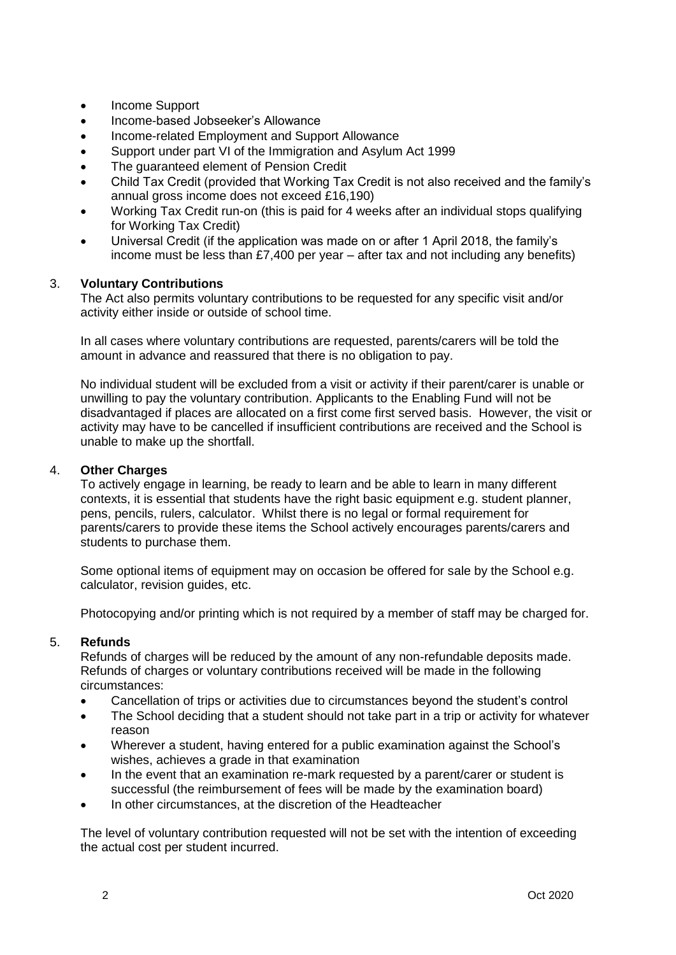- Income Support
- Income-based Jobseeker's Allowance
- Income-related Employment and Support Allowance
- Support under part VI of the Immigration and Asylum Act 1999
- The guaranteed element of Pension Credit
- Child Tax Credit (provided that Working Tax Credit is not also received and the family's annual gross income does not exceed £16,190)
- Working Tax Credit run-on (this is paid for 4 weeks after an individual stops qualifying for Working Tax Credit)
- Universal Credit (if the application was made on or after 1 April 2018, the family's income must be less than £7,400 per year – after tax and not including any benefits)

## 3. **Voluntary Contributions**

The Act also permits voluntary contributions to be requested for any specific visit and/or activity either inside or outside of school time.

In all cases where voluntary contributions are requested, parents/carers will be told the amount in advance and reassured that there is no obligation to pay.

No individual student will be excluded from a visit or activity if their parent/carer is unable or unwilling to pay the voluntary contribution. Applicants to the Enabling Fund will not be disadvantaged if places are allocated on a first come first served basis. However, the visit or activity may have to be cancelled if insufficient contributions are received and the School is unable to make up the shortfall.

#### 4. **Other Charges**

To actively engage in learning, be ready to learn and be able to learn in many different contexts, it is essential that students have the right basic equipment e.g. student planner, pens, pencils, rulers, calculator. Whilst there is no legal or formal requirement for parents/carers to provide these items the School actively encourages parents/carers and students to purchase them.

Some optional items of equipment may on occasion be offered for sale by the School e.g. calculator, revision guides, etc.

Photocopying and/or printing which is not required by a member of staff may be charged for.

### 5. **Refunds**

Refunds of charges will be reduced by the amount of any non-refundable deposits made. Refunds of charges or voluntary contributions received will be made in the following circumstances:

- Cancellation of trips or activities due to circumstances beyond the student's control
- The School deciding that a student should not take part in a trip or activity for whatever reason
- Wherever a student, having entered for a public examination against the School's wishes, achieves a grade in that examination
- In the event that an examination re-mark requested by a parent/carer or student is successful (the reimbursement of fees will be made by the examination board)
- In other circumstances, at the discretion of the Headteacher

The level of voluntary contribution requested will not be set with the intention of exceeding the actual cost per student incurred.